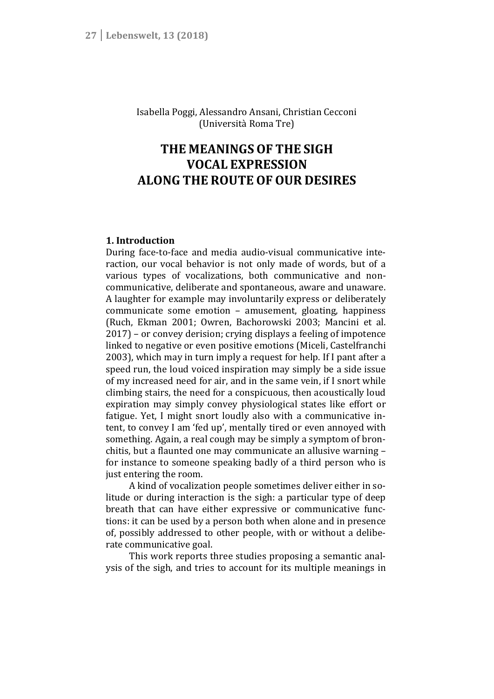Isabella Poggi, Alessandro Ansani, Christian Cecconi (Università Roma Tre)

# **THE MEANINGS OF THE SIGH VOCAL EXPRESSION ALONG THE ROUTE OF OUR DESIRES**

# **1. Introduction**

During face-to-face and media audio-visual communicative interaction, our vocal behavior is not only made of words, but of a various types of vocalizations, both communicative and noncommunicative, deliberate and spontaneous, aware and unaware. A laughter for example may involuntarily express or deliberately communicate some emotion – amusement, gloating, happiness (Ruch, Ekman 2001; Owren, Bachorowski 2003; Mancini et al. 2017) – or convey derision; crying displays a feeling of impotence linked to negative or even positive emotions (Miceli, Castelfranchi 2003), which may in turn imply a request for help. If I pant after a speed run, the loud voiced inspiration may simply be a side issue of my increased need for air, and in the same vein, if I snort while climbing stairs, the need for a conspicuous, then acoustically loud expiration may simply convey physiological states like effort or fatigue. Yet, I might snort loudly also with a communicative intent, to convey I am 'fed up', mentally tired or even annoyed with something. Again, a real cough may be simply a symptom of bronchitis, but a flaunted one may communicate an allusive warning – for instance to someone speaking badly of a third person who is just entering the room.

A kind of vocalization people sometimes deliver either in solitude or during interaction is the sigh: a particular type of deep breath that can have either expressive or communicative functions: it can be used by a person both when alone and in presence of, possibly addressed to other people, with or without a deliberate communicative goal.

This work reports three studies proposing a semantic analysis of the sigh, and tries to account for its multiple meanings in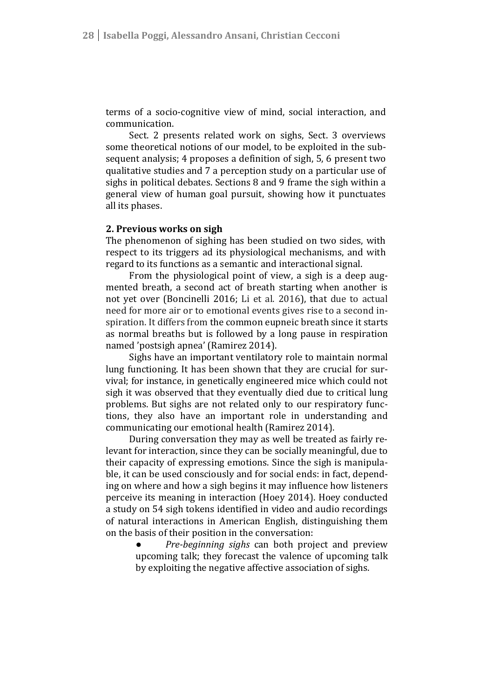terms of a socio-cognitive view of mind, social interaction, and communication.

Sect. 2 presents related work on sighs, Sect. 3 overviews some theoretical notions of our model, to be exploited in the subsequent analysis; 4 proposes a definition of sigh, 5, 6 present two qualitative studies and 7 a perception study on a particular use of sighs in political debates. Sections 8 and 9 frame the sigh within a general view of human goal pursuit, showing how it punctuates all its phases.

#### **2. Previous works on sigh**

The phenomenon of sighing has been studied on two sides, with respect to its triggers ad its physiological mechanisms, and with regard to its functions as a semantic and interactional signal.

From the physiological point of view, a sigh is a deep augmented breath, a second act of breath starting when another is not yet over (Boncinelli 2016; Li et al. 2016), that due to actual need for more air or to emotional events gives rise to a second inspiration. It differs from the common eupneic breath since it starts as normal breaths but is followed by a long pause in respiration named 'postsigh apnea' (Ramirez 2014).

Sighs have an important ventilatory role to maintain normal lung functioning. It has been shown that they are crucial for survival; for instance, in genetically engineered mice which could not sigh it was observed that they eventually died due to critical lung problems. But sighs are not related only to our respiratory functions, they also have an important role in understanding and communicating our emotional health (Ramirez 2014).

During conversation they may as well be treated as fairly relevant for interaction, since they can be socially meaningful, due to their capacity of expressing emotions. Since the sigh is manipulable, it can be used consciously and for social ends: in fact, depending on where and how a sigh begins it may influence how listeners perceive its meaning in interaction (Hoey 2014). Hoey conducted a study on 54 sigh tokens identified in video and audio recordings of natural interactions in American English, distinguishing them on the basis of their position in the conversation:

> ● *Pre-beginning sighs* can both project and preview upcoming talk; they forecast the valence of upcoming talk by exploiting the negative affective association of sighs.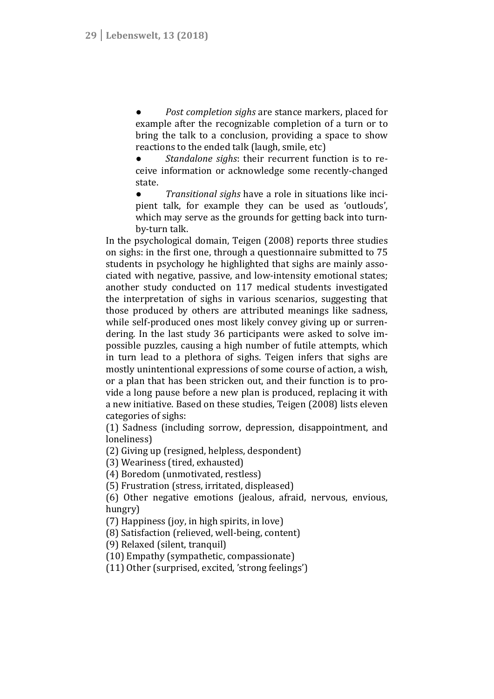*Post completion sighs* are stance markers, placed for example after the recognizable completion of a turn or to bring the talk to a conclusion, providing a space to show reactions to the ended talk (laugh, smile, etc)

Standalone sighs: their recurrent function is to receive information or acknowledge some recently-changed state.

● *Transitional sighs* have a role in situations like incipient talk, for example they can be used as 'outlouds', which may serve as the grounds for getting back into turnby-turn talk.

In the psychological domain, Teigen (2008) reports three studies on sighs: in the first one, through a questionnaire submitted to 75 students in psychology he highlighted that sighs are mainly associated with negative, passive, and low-intensity emotional states; another study conducted on 117 medical students investigated the interpretation of sighs in various scenarios, suggesting that those produced by others are attributed meanings like sadness, while self-produced ones most likely convey giving up or surrendering. In the last study 36 participants were asked to solve impossible puzzles, causing a high number of futile attempts, which in turn lead to a plethora of sighs. Teigen infers that sighs are mostly unintentional expressions of some course of action, a wish, or a plan that has been stricken out, and their function is to provide a long pause before a new plan is produced, replacing it with a new initiative. Based on these studies, Teigen (2008) lists eleven categories of sighs:

(1) Sadness (including sorrow, depression, disappointment, and loneliness)

(2) Giving up (resigned, helpless, despondent)

(3) Weariness (tired, exhausted)

(4) Boredom (unmotivated, restless)

(5) Frustration (stress, irritated, displeased)

(6) Other negative emotions (jealous, afraid, nervous, envious, hungry)

(7) Happiness (joy, in high spirits, in love)

(8) Satisfaction (relieved, well-being, content)

(9) Relaxed (silent, tranquil)

(10) Empathy (sympathetic, compassionate)

(11) Other (surprised, excited, 'strong feelings')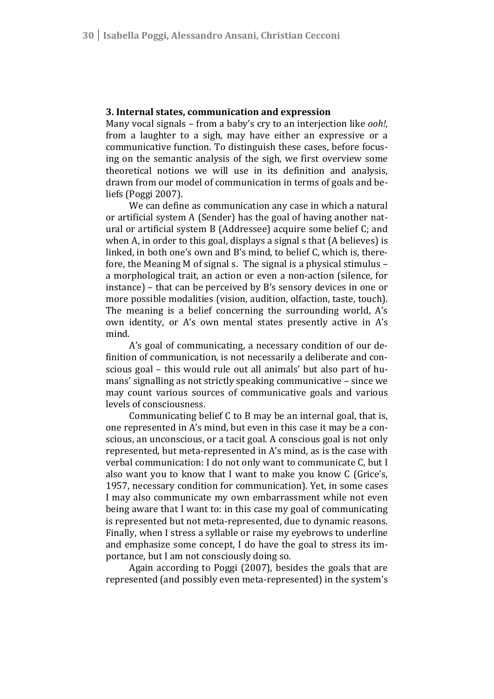#### **3. Internal states, communication and expression**

Many vocal signals – from a baby's cry to an interjection like *ooh!*, from a laughter to a sigh, may have either an expressive or a communicative function. To distinguish these cases, before focusing on the semantic analysis of the sigh, we first overview some theoretical notions we will use in its definition and analysis, drawn from our model of communication in terms of goals and beliefs (Poggi 2007).

We can define as communication any case in which a natural or artificial system A (Sender) has the goal of having another natural or artificial system B (Addressee) acquire some belief C; and when A, in order to this goal, displays a signal s that (A believes) is linked, in both one's own and B's mind, to belief C, which is, therefore, the Meaning M of signal s. The signal is a physical stimulus – a morphological trait, an action or even a non-action (silence, for instance) – that can be perceived by B's sensory devices in one or more possible modalities (vision, audition, olfaction, taste, touch). The meaning is a belief concerning the surrounding world, A's own identity, or A's own mental states presently active in A's mind.

A's goal of communicating, a necessary condition of our definition of communication, is not necessarily a deliberate and conscious goal – this would rule out all animals' but also part of humans' signalling as not strictly speaking communicative – since we may count various sources of communicative goals and various levels of consciousness.

Communicating belief C to B may be an internal goal, that is, one represented in A's mind, but even in this case it may be a conscious, an unconscious, or a tacit goal. A conscious goal is not only represented, but meta-represented in A's mind, as is the case with verbal communication: I do not only want to communicate C, but I also want you to know that I want to make you know C (Grice's, 1957, necessary condition for communication). Yet, in some cases I may also communicate my own embarrassment while not even being aware that I want to: in this case my goal of communicating is represented but not meta-represented, due to dynamic reasons. Finally, when I stress a syllable or raise my eyebrows to underline and emphasize some concept, I do have the goal to stress its importance, but I am not consciously doing so.

Again according to Poggi (2007), besides the goals that are represented (and possibly even meta-represented) in the system's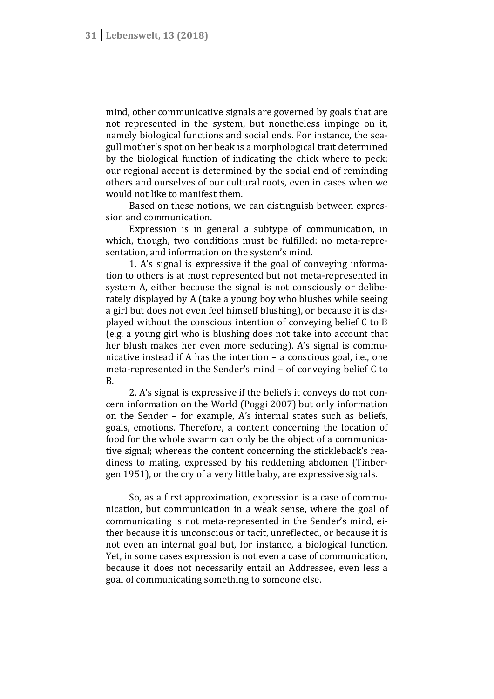mind, other communicative signals are governed by goals that are not represented in the system, but nonetheless impinge on it, namely biological functions and social ends. For instance, the seagull mother's spot on her beak is a morphological trait determined by the biological function of indicating the chick where to peck; our regional accent is determined by the social end of reminding others and ourselves of our cultural roots, even in cases when we would not like to manifest them.

Based on these notions, we can distinguish between expression and communication.

Expression is in general a subtype of communication, in which, though, two conditions must be fulfilled: no meta-representation, and information on the system's mind.

1. A's signal is expressive if the goal of conveying information to others is at most represented but not meta-represented in system A, either because the signal is not consciously or deliberately displayed by A (take a young boy who blushes while seeing a girl but does not even feel himself blushing), or because it is displayed without the conscious intention of conveying belief C to B (e.g. a young girl who is blushing does not take into account that her blush makes her even more seducing). A's signal is communicative instead if A has the intention – a conscious goal, i.e., one meta-represented in the Sender's mind – of conveying belief C to B.

2. A's signal is expressive if the beliefs it conveys do not concern information on the World (Poggi 2007) but only information on the Sender – for example, A's internal states such as beliefs, goals, emotions. Therefore, a content concerning the location of food for the whole swarm can only be the object of a communicative signal; whereas the content concerning the stickleback's readiness to mating, expressed by his reddening abdomen (Tinbergen 1951), or the cry of a very little baby, are expressive signals.

So, as a first approximation, expression is a case of communication, but communication in a weak sense, where the goal of communicating is not meta-represented in the Sender's mind, either because it is unconscious or tacit, unreflected, or because it is not even an internal goal but, for instance, a biological function. Yet, in some cases expression is not even a case of communication, because it does not necessarily entail an Addressee, even less a goal of communicating something to someone else.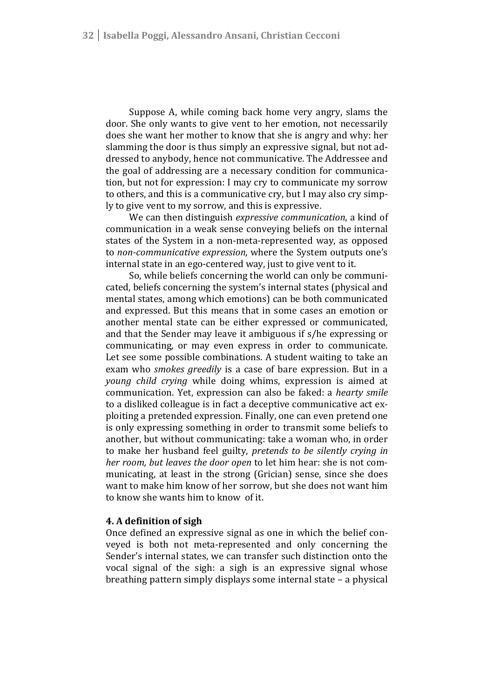Suppose A, while coming back home very angry, slams the door. She only wants to give vent to her emotion, not necessarily does she want her mother to know that she is angry and why: her slamming the door is thus simply an expressive signal, but not addressed to anybody, hence not communicative. The Addressee and the goal of addressing are a necessary condition for communication, but not for expression: I may cry to communicate my sorrow to others, and this is a communicative cry, but I may also cry simply to give vent to my sorrow, and this is expressive.

We can then distinguish *expressive communication*, a kind of communication in a weak sense conveying beliefs on the internal states of the System in a non-meta-represented way, as opposed to *non-communicative expression*, where the System outputs one's internal state in an ego-centered way, just to give vent to it.

So, while beliefs concerning the world can only be communicated, beliefs concerning the system's internal states (physical and mental states, among which emotions) can be both communicated and expressed. But this means that in some cases an emotion or another mental state can be either expressed or communicated, and that the Sender may leave it ambiguous if s/he expressing or communicating, or may even express in order to communicate. Let see some possible combinations. A student waiting to take an exam who *smokes greedily* is a case of bare expression. But in a *young child crying* while doing whims, expression is aimed at communication. Yet, expression can also be faked: a *hearty smile* to a disliked colleague is in fact a deceptive communicative act exploiting a pretended expression. Finally, one can even pretend one is only expressing something in order to transmit some beliefs to another, but without communicating: take a woman who, in order to make her husband feel guilty, *pretends to be silently crying in her room, but leaves the door open* to let him hear: she is not communicating, at least in the strong (Grician) sense, since she does want to make him know of her sorrow, but she does not want him to know she wants him to know of it.

## **4. A definition of sigh**

Once defined an expressive signal as one in which the belief conveyed is both not meta-represented and only concerning the Sender's internal states, we can transfer such distinction onto the vocal signal of the sigh: a sigh is an expressive signal whose breathing pattern simply displays some internal state – a physical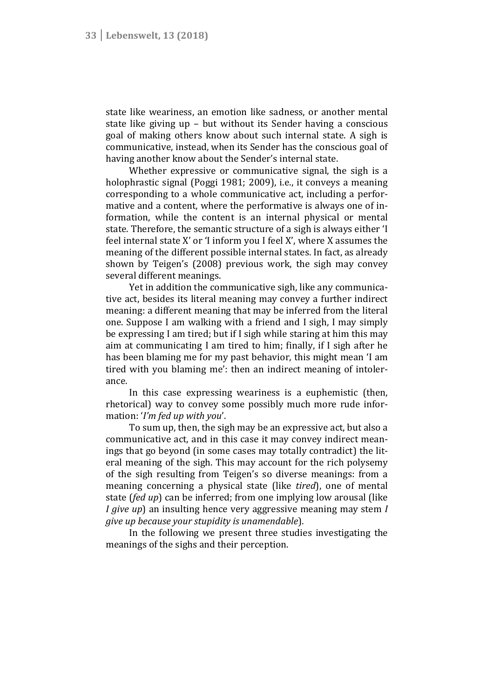state like weariness, an emotion like sadness, or another mental state like giving up – but without its Sender having a conscious goal of making others know about such internal state. A sigh is communicative, instead, when its Sender has the conscious goal of having another know about the Sender's internal state.

Whether expressive or communicative signal, the sigh is a holophrastic signal (Poggi 1981; 2009), i.e., it conveys a meaning corresponding to a whole communicative act, including a performative and a content, where the performative is always one of information, while the content is an internal physical or mental state. Therefore, the semantic structure of a sigh is always either 'I feel internal state X' or 'I inform you I feel X', where X assumes the meaning of the different possible internal states. In fact, as already shown by Teigen's (2008) previous work, the sigh may convey several different meanings.

Yet in addition the communicative sigh, like any communicative act, besides its literal meaning may convey a further indirect meaning: a different meaning that may be inferred from the literal one. Suppose I am walking with a friend and I sigh, I may simply be expressing I am tired; but if I sigh while staring at him this may aim at communicating I am tired to him; finally, if I sigh after he has been blaming me for my past behavior, this might mean 'I am tired with you blaming me': then an indirect meaning of intolerance.

In this case expressing weariness is a euphemistic (then, rhetorical) way to convey some possibly much more rude information: '*I'm fed up with you*'.

To sum up, then, the sigh may be an expressive act, but also a communicative act, and in this case it may convey indirect meanings that go beyond (in some cases may totally contradict) the literal meaning of the sigh. This may account for the rich polysemy of the sigh resulting from Teigen's so diverse meanings: from a meaning concerning a physical state (like *tired*), one of mental state (*fed up*) can be inferred; from one implying low arousal (like *I give up*) an insulting hence very aggressive meaning may stem *I give up because your stupidity is unamendable*).

In the following we present three studies investigating the meanings of the sighs and their perception.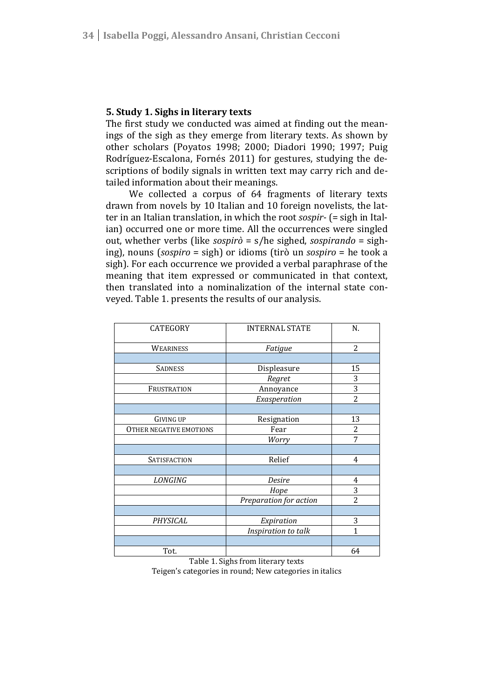## **5. Study 1. Sighs in literary texts**

The first study we conducted was aimed at finding out the meanings of the sigh as they emerge from literary texts. As shown by other scholars (Poyatos 1998; 2000; Diadori 1990; 1997; Puig Rodríguez-Escalona, Fornés 2011) for gestures, studying the descriptions of bodily signals in written text may carry rich and detailed information about their meanings.

We collected a corpus of 64 fragments of literary texts drawn from novels by 10 Italian and 10 foreign novelists, the latter in an Italian translation, in which the root *sospir-* (= sigh in Italian) occurred one or more time. All the occurrences were singled out, whether verbs (like *sospirò* = s/he sighed, *sospirando* = sighing), nouns (*sospiro* = sigh) or idioms (tirò un *sospiro* = he took a sigh). For each occurrence we provided a verbal paraphrase of the meaning that item expressed or communicated in that context, then translated into a nominalization of the internal state conveyed. Table 1. presents the results of our analysis.

| CATEGORY                | <b>INTERNAL STATE</b>  | N.             |
|-------------------------|------------------------|----------------|
| <b>WEARINESS</b>        | Fatigue                | $\overline{c}$ |
|                         |                        |                |
| <b>SADNESS</b>          | Displeasure            | 15             |
|                         | Regret                 | 3              |
| FRUSTRATION             | Annoyance              | 3              |
|                         | Exasperation           | $\overline{2}$ |
|                         |                        |                |
| <b>GIVING UP</b>        | Resignation            | 13             |
| OTHER NEGATIVE EMOTIONS | Fear                   | 2              |
|                         | Worry                  | 7              |
|                         |                        |                |
| SATISFACTION            | Relief                 | 4              |
|                         |                        |                |
| <b>LONGING</b>          | Desire                 | 4              |
|                         | Hope                   | 3              |
|                         | Preparation for action | $\overline{2}$ |
|                         |                        |                |
| PHYSICAL                | Expiration             | 3              |
|                         | Inspiration to talk    | $\mathbf{1}$   |
|                         |                        |                |
| Tot.                    |                        | 64             |

Table 1. Sighs from literary texts

Teigen's categories in round; New categories in italics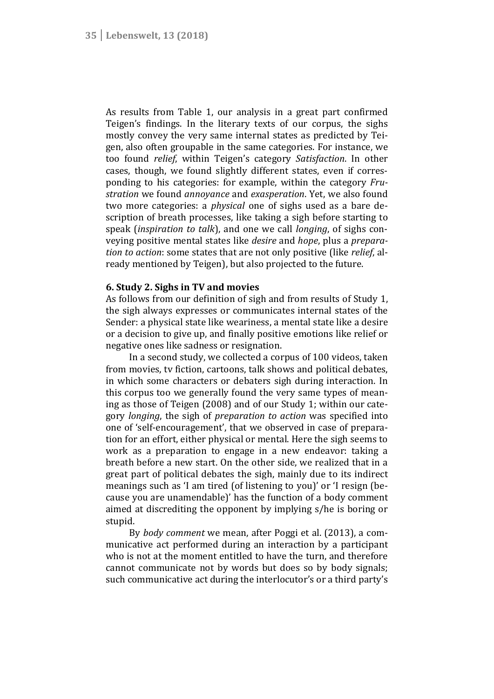As results from Table 1, our analysis in a great part confirmed Teigen's findings. In the literary texts of our corpus, the sighs mostly convey the very same internal states as predicted by Teigen, also often groupable in the same categories. For instance, we too found *relief*, within Teigen's category *Satisfaction*. In other cases, though, we found slightly different states, even if corresponding to his categories: for example, within the category *Frustration* we found *annoyance* and *exasperation*. Yet, we also found two more categories: a *physical* one of sighs used as a bare description of breath processes, like taking a sigh before starting to speak (*inspiration to talk*), and one we call *longing*, of sighs conveying positive mental states like *desire* and *hope*, plus a *preparation to action*: some states that are not only positive (like *relief*, already mentioned by Teigen), but also projected to the future.

## **6. Study 2. Sighs in TV and movies**

As follows from our definition of sigh and from results of Study 1, the sigh always expresses or communicates internal states of the Sender: a physical state like weariness, a mental state like a desire or a decision to give up, and finally positive emotions like relief or negative ones like sadness or resignation.

In a second study, we collected a corpus of 100 videos, taken from movies, tv fiction, cartoons, talk shows and political debates, in which some characters or debaters sigh during interaction. In this corpus too we generally found the very same types of meaning as those of Teigen (2008) and of our Study 1; within our category *longing*, the sigh of *preparation to action* was specified into one of 'self-encouragement', that we observed in case of preparation for an effort, either physical or mental. Here the sigh seems to work as a preparation to engage in a new endeavor: taking a breath before a new start. On the other side, we realized that in a great part of political debates the sigh, mainly due to its indirect meanings such as 'I am tired (of listening to you)' or 'I resign (because you are unamendable)' has the function of a body comment aimed at discrediting the opponent by implying s/he is boring or stupid.

By *body comment* we mean, after Poggi et al. (2013), a communicative act performed during an interaction by a participant who is not at the moment entitled to have the turn, and therefore cannot communicate not by words but does so by body signals; such communicative act during the interlocutor's or a third party's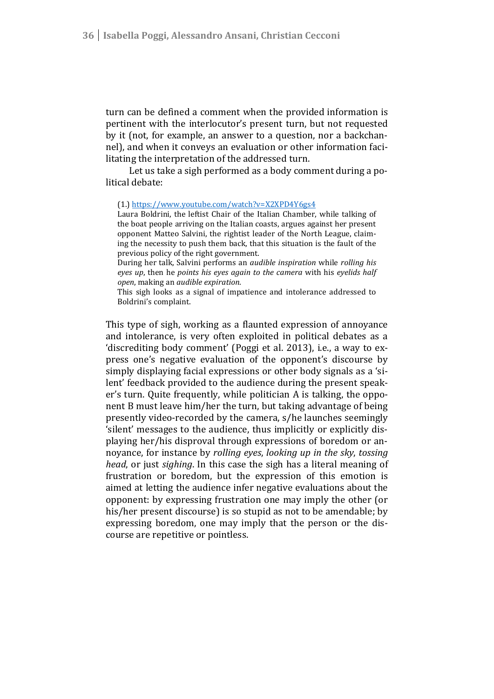turn can be defined a comment when the provided information is pertinent with the interlocutor's present turn, but not requested by it (not, for example, an answer to a question, nor a backchannel), and when it conveys an evaluation or other information facilitating the interpretation of the addressed turn.

Let us take a sigh performed as a body comment during a political debate:

#### (1.) https://www.youtube.com/watch?v=X2XPD4Y6gs4

Laura Boldrini, the leftist Chair of the Italian Chamber, while talking of the boat people arriving on the Italian coasts, argues against her present opponent Matteo Salvini, the rightist leader of the North League, claiming the necessity to push them back, that this situation is the fault of the previous policy of the right government.

During her talk, Salvini performs an *audible inspiration* while *rolling his eyes up*, then he *points his eyes again to the camera* with his *eyelids half open*, making an *audible expiration*.

This sigh looks as a signal of impatience and intolerance addressed to Boldrini's complaint.

This type of sigh, working as a flaunted expression of annoyance and intolerance, is very often exploited in political debates as a 'discrediting body comment' (Poggi et al. 2013), i.e., a way to express one's negative evaluation of the opponent's discourse by simply displaying facial expressions or other body signals as a 'silent' feedback provided to the audience during the present speaker's turn. Quite frequently, while politician A is talking, the opponent B must leave him/her the turn, but taking advantage of being presently video-recorded by the camera, s/he launches seemingly 'silent' messages to the audience, thus implicitly or explicitly displaying her/his disproval through expressions of boredom or annoyance, for instance by *rolling eyes*, *looking up in the sky*, *tossing head*, or just *sighing*. In this case the sigh has a literal meaning of frustration or boredom, but the expression of this emotion is aimed at letting the audience infer negative evaluations about the opponent: by expressing frustration one may imply the other (or his/her present discourse) is so stupid as not to be amendable; by expressing boredom, one may imply that the person or the discourse are repetitive or pointless.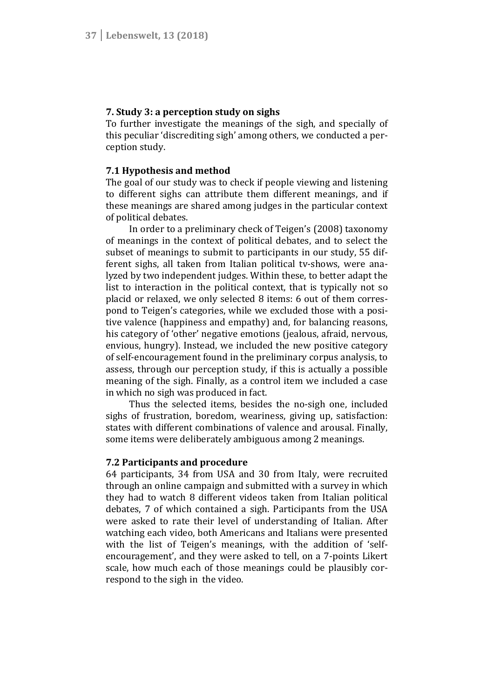## **7. Study 3: a perception study on sighs**

To further investigate the meanings of the sigh, and specially of this peculiar 'discrediting sigh' among others, we conducted a perception study.

## **7.1 Hypothesis and method**

The goal of our study was to check if people viewing and listening to different sighs can attribute them different meanings, and if these meanings are shared among judges in the particular context of political debates.

In order to a preliminary check of Teigen's (2008) taxonomy of meanings in the context of political debates, and to select the subset of meanings to submit to participants in our study, 55 different sighs, all taken from Italian political tv-shows, were analyzed by two independent judges. Within these, to better adapt the list to interaction in the political context, that is typically not so placid or relaxed, we only selected 8 items: 6 out of them correspond to Teigen's categories, while we excluded those with a positive valence (happiness and empathy) and, for balancing reasons, his category of 'other' negative emotions (jealous, afraid, nervous, envious, hungry). Instead, we included the new positive category of self-encouragement found in the preliminary corpus analysis, to assess, through our perception study, if this is actually a possible meaning of the sigh. Finally, as a control item we included a case in which no sigh was produced in fact.

Thus the selected items, besides the no-sigh one, included sighs of frustration, boredom, weariness, giving up, satisfaction: states with different combinations of valence and arousal. Finally, some items were deliberately ambiguous among 2 meanings.

## **7.2 Participants and procedure**

64 participants, 34 from USA and 30 from Italy, were recruited through an online campaign and submitted with a survey in which they had to watch 8 different videos taken from Italian political debates, 7 of which contained a sigh. Participants from the USA were asked to rate their level of understanding of Italian. After watching each video, both Americans and Italians were presented with the list of Teigen's meanings, with the addition of 'selfencouragement', and they were asked to tell, on a 7-points Likert scale, how much each of those meanings could be plausibly correspond to the sigh in the video.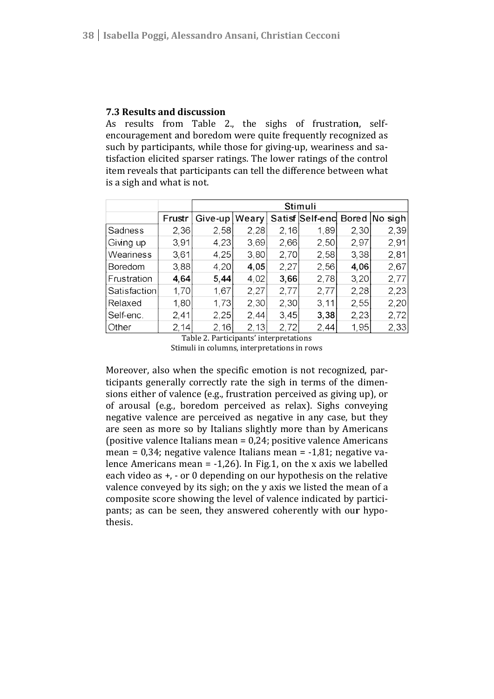# **7.3 Results and discussion**

As results from Table 2., the sighs of frustration, selfencouragement and boredom were quite frequently recognized as encouragement and boredom were quite frequently recognized as<br>such by participants, while those for giving-up, weariness and satisfaction elicited sparser ratings. The lower ratings of the control item reveals that participants can tell the difference between what is a sigh and what is not.

|              |        | <b>Stimuli</b> |       |      |                 |      |               |
|--------------|--------|----------------|-------|------|-----------------|------|---------------|
|              | Frustr | Give-up        | Weary |      | Satisf Self-end |      | Bored No sigh |
| Sadness      | 2,36   | 2,58           | 2,28  | 2,16 | 1,89            | 2,30 | 2,39          |
| Giving up    | 3,91   | 4,23           | 3,69  | 2,66 | 2,50            | 2,97 | 2,91          |
| Weariness    | 3,61   | 4,25           | 3,80  | 2,70 | 2,58            | 3,38 | 2,81          |
| Boredom      | 3,88   | 4,20           | 4,05  | 2,27 | 2,56            | 4,06 | 2,67          |
| Frustration  | 4,64   | 5,44           | 4,02  | 3,66 | 2,78            | 3,20 | 2,77          |
| Satisfaction | 1,70   | 1,67           | 2,27  | 2,77 | 2,77            | 2,28 | 2,23          |
| Relaxed      | 1,80   | 1,73           | 2,30  | 2,30 | 3, 11           | 2,55 | 2,20          |
| Self-enc.    | 2,41   | 2,25           | 2,44  | 3,45 | 3,38            | 2,23 | 2,72          |
| Other        | 2,14   | 2,16           | 2,13  | 2,72 | 2,44            | 1,95 | 2,33          |

Stimuli in columns, interpretations in rows Table 2. Participants' interpretations

Moreover, also when the specific emotion is not recognized, participants generally correctly rate the sigh in terms of the dimensions either of valence (e.g., frustration perceived as giving up), or of arousal (e.g., boredom perceived as relax). Sighs conveying negative valence are perceived as negative in any case, but they are seen as more so by Italians slightly more than by Americans (positive valence Italians mean = 0,24; positive valence Americans mean = 0,34; negative valence Italians mean = -1,81; negative v lence Americans mean = -1,26). In Fig.1, on the x axis we labelled each video as +, - or 0 depending on our hypothesis on the relative valence conveyed by its sigh; on the y axis we listed the mean of a composite score showing the level of valence indicated by partic pants; as can be seen, they answered coherently with our hypothesis. s either of valence (e.g., frustration perceived as giving up), or rousal (e.g., boredom perceived as relax). Sighs conveying ative valence are perceived as negative in any case, but they seen as more so by Italians sligh nean = -1,26). In Fig.1, on the x axis we labelled<br>or 0 depending on our hypothesis on the relative<br>by its sigh; on the y axis we listed the mean of a<br>howing the level of valence indicated by partici-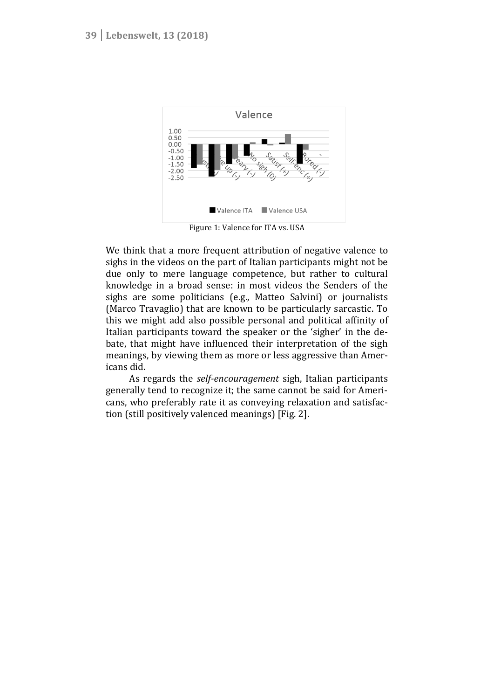

Figure 1: Valence for ITA vs. USA

We think that a more frequent attribution of negative valence to sighs in the videos on the part of Italian participants might not be due only to mere language competence, but rather to cultural knowledge in a broad sense: in most videos the Senders of the sighs are some politicians (e.g., Matteo Salvini) or journalists (Marco Travaglio) that are known to be particularly sarcastic. To this we might add also possible personal and political affinity of Italian participants toward the speaker or the 'sigher' in the debate, that might have influenced their interpretation of the sigh meanings, by viewing them as more or less aggressive than Americans did.

As regards the *self-encouragement* sigh, Italian participants generally tend to recognize it; the same cannot be said for Americans, who preferably rate it as conveying relaxation and satisfaction (still positively valenced meanings) [Fig. 2].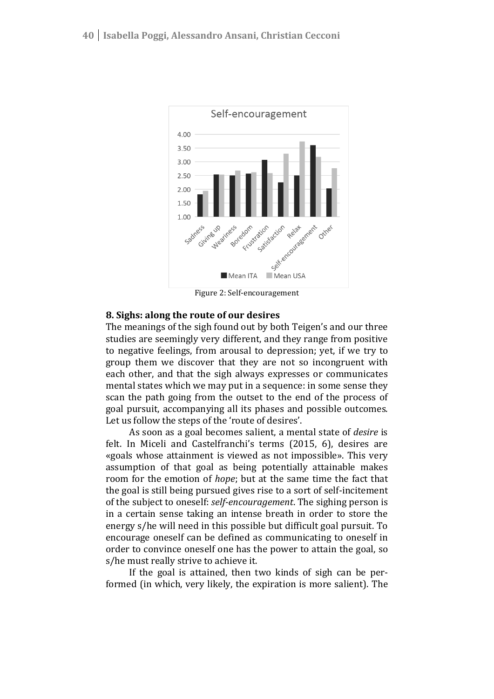

Figure 2: Self-encouragement

## **8. Sighs: along the route of our desires**

The meanings of the sigh found out by both Teigen's and our three studies are seemingly very different, and they range from positive to negative feelings, from arousal to depression; yet, if we try to group them we discover that they are not so incongruent with each other, and that the sigh always expresses or communicates mental states which we may put in a sequence: in some sense they scan the path going from the outset to the end of the process of goal pursuit, accompanying all its phases and possible outcomes. Let us follow the steps of the 'route of desires'.

As soon as a goal becomes salient, a mental state of *desire* is felt. In Miceli and Castelfranchi's terms (2015, 6), desires are «goals whose attainment is viewed as not impossible». This very assumption of that goal as being potentially attainable makes room for the emotion of *hope*; but at the same time the fact that the goal is still being pursued gives rise to a sort of self-incitement of the subject to oneself: *self-encouragement*. The sighing person is in a certain sense taking an intense breath in order to store the energy s/he will need in this possible but difficult goal pursuit. To encourage oneself can be defined as communicating to oneself in order to convince oneself one has the power to attain the goal, so s/he must really strive to achieve it.

If the goal is attained, then two kinds of sigh can be performed (in which, very likely, the expiration is more salient). The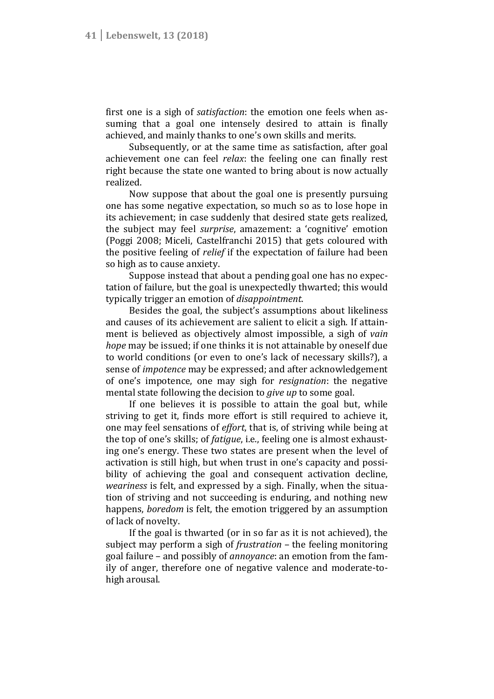first one is a sigh of *satisfaction*: the emotion one feels when assuming that a goal one intensely desired to attain is finally achieved, and mainly thanks to one's own skills and merits.

Subsequently, or at the same time as satisfaction, after goal achievement one can feel *relax*: the feeling one can finally rest right because the state one wanted to bring about is now actually realized.

Now suppose that about the goal one is presently pursuing one has some negative expectation, so much so as to lose hope in its achievement; in case suddenly that desired state gets realized, the subject may feel *surprise*, amazement: a 'cognitive' emotion (Poggi 2008; Miceli, Castelfranchi 2015) that gets coloured with the positive feeling of *relief* if the expectation of failure had been so high as to cause anxiety.

Suppose instead that about a pending goal one has no expectation of failure, but the goal is unexpectedly thwarted; this would typically trigger an emotion of *disappointment*.

Besides the goal, the subject's assumptions about likeliness and causes of its achievement are salient to elicit a sigh. If attainment is believed as objectively almost impossible, a sigh of *vain hope* may be issued; if one thinks it is not attainable by oneself due to world conditions (or even to one's lack of necessary skills?), a sense of *impotence* may be expressed; and after acknowledgement of one's impotence, one may sigh for *resignation*: the negative mental state following the decision to *give up* to some goal.

If one believes it is possible to attain the goal but, while striving to get it, finds more effort is still required to achieve it, one may feel sensations of *effort*, that is, of striving while being at the top of one's skills; of *fatigue*, i.e., feeling one is almost exhausting one's energy. These two states are present when the level of activation is still high, but when trust in one's capacity and possibility of achieving the goal and consequent activation decline, *weariness* is felt, and expressed by a sigh. Finally, when the situation of striving and not succeeding is enduring, and nothing new happens, *boredom* is felt, the emotion triggered by an assumption of lack of novelty.

If the goal is thwarted (or in so far as it is not achieved), the subject may perform a sigh of *frustration* – the feeling monitoring goal failure – and possibly of *annoyance*: an emotion from the family of anger, therefore one of negative valence and moderate-tohigh arousal.